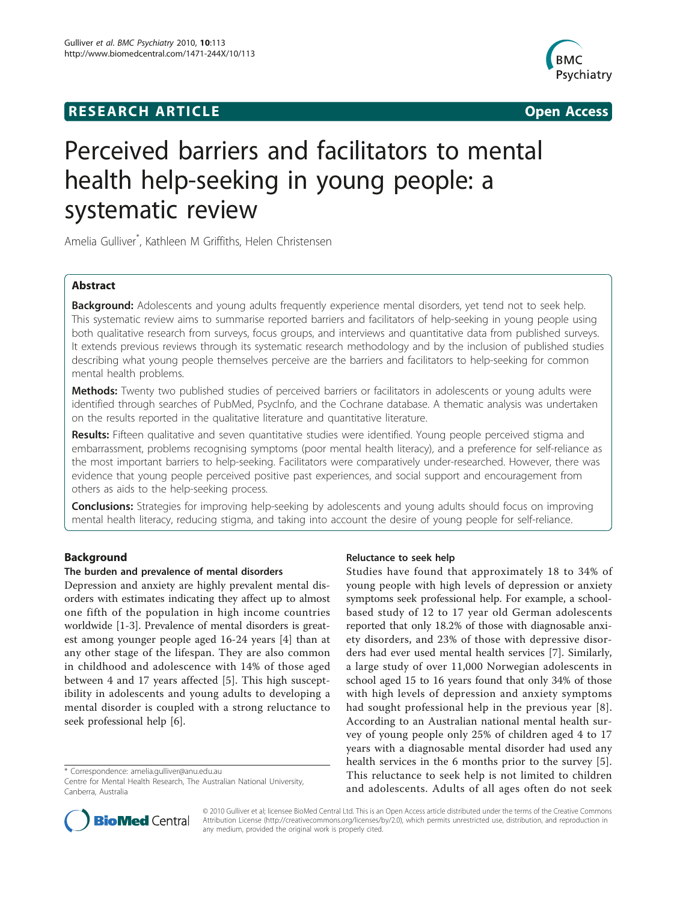## **RESEARCH ARTICLE CONSUMING A RESEARCH ARTICLE**



# Perceived barriers and facilitators to mental health help-seeking in young people: a systematic review

Amelia Gulliver\* , Kathleen M Griffiths, Helen Christensen

## Abstract

Background: Adolescents and young adults frequently experience mental disorders, yet tend not to seek help. This systematic review aims to summarise reported barriers and facilitators of help-seeking in young people using both qualitative research from surveys, focus groups, and interviews and quantitative data from published surveys. It extends previous reviews through its systematic research methodology and by the inclusion of published studies describing what young people themselves perceive are the barriers and facilitators to help-seeking for common mental health problems.

Methods: Twenty two published studies of perceived barriers or facilitators in adolescents or young adults were identified through searches of PubMed, PsycInfo, and the Cochrane database. A thematic analysis was undertaken on the results reported in the qualitative literature and quantitative literature.

Results: Fifteen qualitative and seven quantitative studies were identified. Young people perceived stigma and embarrassment, problems recognising symptoms (poor mental health literacy), and a preference for self-reliance as the most important barriers to help-seeking. Facilitators were comparatively under-researched. However, there was evidence that young people perceived positive past experiences, and social support and encouragement from others as aids to the help-seeking process.

**Conclusions:** Strategies for improving help-seeking by adolescents and young adults should focus on improving mental health literacy, reducing stigma, and taking into account the desire of young people for self-reliance.

## Background

#### The burden and prevalence of mental disorders

Depression and anxiety are highly prevalent mental disorders with estimates indicating they affect up to almost one fifth of the population in high income countries worldwide [\[1](#page-7-0)-[3\]](#page-7-0). Prevalence of mental disorders is greatest among younger people aged 16-24 years [[4](#page-7-0)] than at any other stage of the lifespan. They are also common in childhood and adolescence with 14% of those aged between 4 and 17 years affected [[5\]](#page-7-0). This high susceptibility in adolescents and young adults to developing a mental disorder is coupled with a strong reluctance to seek professional help [\[6\]](#page-7-0).

## Reluctance to seek help

Studies have found that approximately 18 to 34% of young people with high levels of depression or anxiety symptoms seek professional help. For example, a schoolbased study of 12 to 17 year old German adolescents reported that only 18.2% of those with diagnosable anxiety disorders, and 23% of those with depressive disorders had ever used mental health services [\[7](#page-7-0)]. Similarly, a large study of over 11,000 Norwegian adolescents in school aged 15 to 16 years found that only 34% of those with high levels of depression and anxiety symptoms had sought professional help in the previous year [[8\]](#page-7-0). According to an Australian national mental health survey of young people only 25% of children aged 4 to 17 years with a diagnosable mental disorder had used any health services in the 6 months prior to the survey [[5](#page-7-0)]. This reluctance to seek help is not limited to children and adolescents. Adults of all ages often do not seek



© 2010 Gulliver et al; licensee BioMed Central Ltd. This is an Open Access article distributed under the terms of the Creative Commons Attribution License [\(http://creativecommons.org/licenses/by/2.0](http://creativecommons.org/licenses/by/2.0)), which permits unrestricted use, distribution, and reproduction in any medium, provided the original work is properly cited.

<sup>\*</sup> Correspondence: [amelia.gulliver@anu.edu.au](mailto:amelia.gulliver@anu.edu.au)

Centre for Mental Health Research, The Australian National University, Canberra, Australia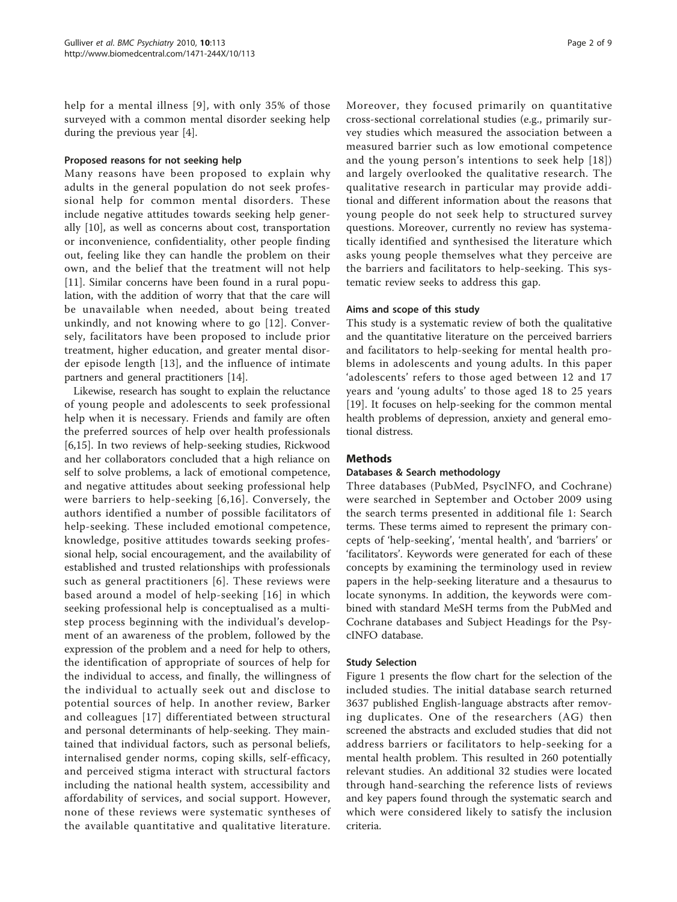help for a mental illness [[9](#page-7-0)], with only 35% of those surveyed with a common mental disorder seeking help during the previous year [[4](#page-7-0)].

## Proposed reasons for not seeking help

Many reasons have been proposed to explain why adults in the general population do not seek professional help for common mental disorders. These include negative attitudes towards seeking help generally [[10\]](#page-7-0), as well as concerns about cost, transportation or inconvenience, confidentiality, other people finding out, feeling like they can handle the problem on their own, and the belief that the treatment will not help [[11\]](#page-7-0). Similar concerns have been found in a rural population, with the addition of worry that that the care will be unavailable when needed, about being treated unkindly, and not knowing where to go [\[12\]](#page-7-0). Conversely, facilitators have been proposed to include prior treatment, higher education, and greater mental disorder episode length [[13](#page-7-0)], and the influence of intimate partners and general practitioners [\[14\]](#page-7-0).

Likewise, research has sought to explain the reluctance of young people and adolescents to seek professional help when it is necessary. Friends and family are often the preferred sources of help over health professionals [[6,15\]](#page-7-0). In two reviews of help-seeking studies, Rickwood and her collaborators concluded that a high reliance on self to solve problems, a lack of emotional competence, and negative attitudes about seeking professional help were barriers to help-seeking [[6,16\]](#page-7-0). Conversely, the authors identified a number of possible facilitators of help-seeking. These included emotional competence, knowledge, positive attitudes towards seeking professional help, social encouragement, and the availability of established and trusted relationships with professionals such as general practitioners [[6\]](#page-7-0). These reviews were based around a model of help-seeking [[16](#page-7-0)] in which seeking professional help is conceptualised as a multistep process beginning with the individual's development of an awareness of the problem, followed by the expression of the problem and a need for help to others, the identification of appropriate of sources of help for the individual to access, and finally, the willingness of the individual to actually seek out and disclose to potential sources of help. In another review, Barker and colleagues [\[17\]](#page-7-0) differentiated between structural and personal determinants of help-seeking. They maintained that individual factors, such as personal beliefs, internalised gender norms, coping skills, self-efficacy, and perceived stigma interact with structural factors including the national health system, accessibility and affordability of services, and social support. However, none of these reviews were systematic syntheses of the available quantitative and qualitative literature. Moreover, they focused primarily on quantitative cross-sectional correlational studies (e.g., primarily survey studies which measured the association between a measured barrier such as low emotional competence and the young person's intentions to seek help [\[18\]](#page-7-0)) and largely overlooked the qualitative research. The qualitative research in particular may provide additional and different information about the reasons that young people do not seek help to structured survey questions. Moreover, currently no review has systematically identified and synthesised the literature which asks young people themselves what they perceive are the barriers and facilitators to help-seeking. This systematic review seeks to address this gap.

## Aims and scope of this study

This study is a systematic review of both the qualitative and the quantitative literature on the perceived barriers and facilitators to help-seeking for mental health problems in adolescents and young adults. In this paper 'adolescents' refers to those aged between 12 and 17 years and 'young adults' to those aged 18 to 25 years [[19\]](#page-7-0). It focuses on help-seeking for the common mental health problems of depression, anxiety and general emotional distress.

## Methods

## Databases & Search methodology

Three databases (PubMed, PsycINFO, and Cochrane) were searched in September and October 2009 using the search terms presented in additional file [1:](#page-6-0) Search terms. These terms aimed to represent the primary concepts of 'help-seeking', 'mental health', and 'barriers' or 'facilitators'. Keywords were generated for each of these concepts by examining the terminology used in review papers in the help-seeking literature and a thesaurus to locate synonyms. In addition, the keywords were combined with standard MeSH terms from the PubMed and Cochrane databases and Subject Headings for the PsycINFO database.

## Study Selection

Figure [1](#page-2-0) presents the flow chart for the selection of the included studies. The initial database search returned 3637 published English-language abstracts after removing duplicates. One of the researchers (AG) then screened the abstracts and excluded studies that did not address barriers or facilitators to help-seeking for a mental health problem. This resulted in 260 potentially relevant studies. An additional 32 studies were located through hand-searching the reference lists of reviews and key papers found through the systematic search and which were considered likely to satisfy the inclusion criteria.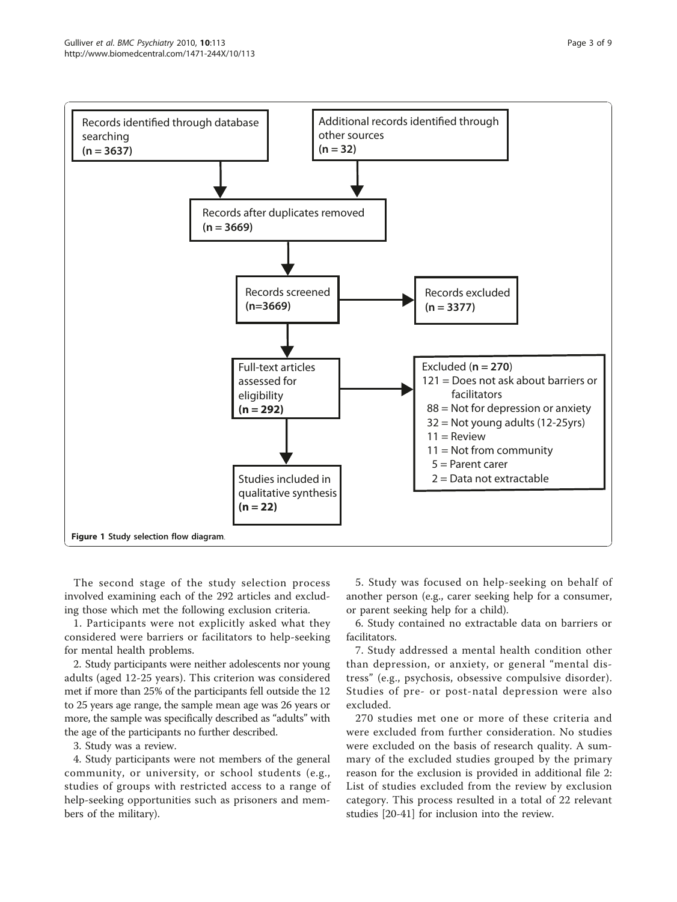<span id="page-2-0"></span>

The second stage of the study selection process involved examining each of the 292 articles and excluding those which met the following exclusion criteria.

1. Participants were not explicitly asked what they considered were barriers or facilitators to help-seeking for mental health problems.

2. Study participants were neither adolescents nor young adults (aged 12-25 years). This criterion was considered met if more than 25% of the participants fell outside the 12 to 25 years age range, the sample mean age was 26 years or more, the sample was specifically described as "adults" with the age of the participants no further described.

3. Study was a review.

4. Study participants were not members of the general community, or university, or school students (e.g., studies of groups with restricted access to a range of help-seeking opportunities such as prisoners and members of the military).

5. Study was focused on help-seeking on behalf of another person (e.g., carer seeking help for a consumer, or parent seeking help for a child).

6. Study contained no extractable data on barriers or facilitators.

7. Study addressed a mental health condition other than depression, or anxiety, or general "mental distress" (e.g., psychosis, obsessive compulsive disorder). Studies of pre- or post-natal depression were also excluded.

270 studies met one or more of these criteria and were excluded from further consideration. No studies were excluded on the basis of research quality. A summary of the excluded studies grouped by the primary reason for the exclusion is provided in additional file [2](#page-6-0): List of studies excluded from the review by exclusion category. This process resulted in a total of 22 relevant studies [\[20-](#page-7-0)[41](#page-8-0)] for inclusion into the review.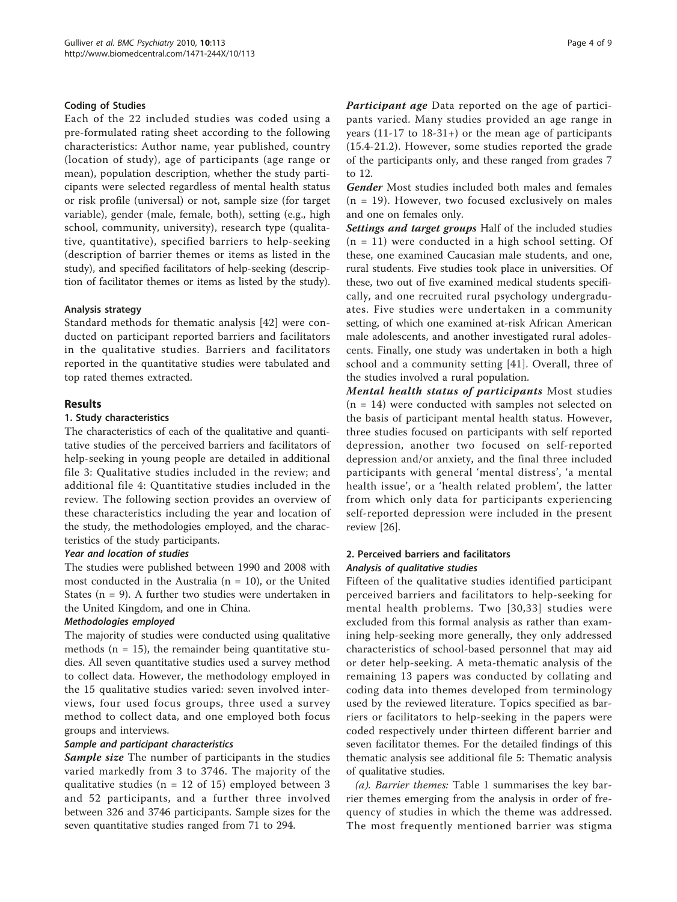## Coding of Studies

Each of the 22 included studies was coded using a pre-formulated rating sheet according to the following characteristics: Author name, year published, country (location of study), age of participants (age range or mean), population description, whether the study participants were selected regardless of mental health status or risk profile (universal) or not, sample size (for target variable), gender (male, female, both), setting (e.g., high school, community, university), research type (qualitative, quantitative), specified barriers to help-seeking (description of barrier themes or items as listed in the study), and specified facilitators of help-seeking (description of facilitator themes or items as listed by the study).

## Analysis strategy

Standard methods for thematic analysis [[42\]](#page-8-0) were conducted on participant reported barriers and facilitators in the qualitative studies. Barriers and facilitators reported in the quantitative studies were tabulated and top rated themes extracted.

## Results

#### 1. Study characteristics

The characteristics of each of the qualitative and quantitative studies of the perceived barriers and facilitators of help-seeking in young people are detailed in additional file [3](#page-6-0): Qualitative studies included in the review; and additional file [4](#page-6-0): Quantitative studies included in the review. The following section provides an overview of these characteristics including the year and location of the study, the methodologies employed, and the characteristics of the study participants.

#### Year and location of studies

The studies were published between 1990 and 2008 with most conducted in the Australia ( $n = 10$ ), or the United States ( $n = 9$ ). A further two studies were undertaken in the United Kingdom, and one in China.

## Methodologies employed

The majority of studies were conducted using qualitative methods ( $n = 15$ ), the remainder being quantitative studies. All seven quantitative studies used a survey method to collect data. However, the methodology employed in the 15 qualitative studies varied: seven involved interviews, four used focus groups, three used a survey method to collect data, and one employed both focus groups and interviews.

#### Sample and participant characteristics

**Sample size** The number of participants in the studies varied markedly from 3 to 3746. The majority of the qualitative studies ( $n = 12$  of 15) employed between 3 and 52 participants, and a further three involved between 326 and 3746 participants. Sample sizes for the seven quantitative studies ranged from 71 to 294.

Participant age Data reported on the age of participants varied. Many studies provided an age range in years (11-17 to 18-31+) or the mean age of participants (15.4-21.2). However, some studies reported the grade of the participants only, and these ranged from grades 7 to 12.

Gender Most studies included both males and females  $(n = 19)$ . However, two focused exclusively on males and one on females only.

Settings and target groups Half of the included studies  $(n = 11)$  were conducted in a high school setting. Of these, one examined Caucasian male students, and one, rural students. Five studies took place in universities. Of these, two out of five examined medical students specifically, and one recruited rural psychology undergraduates. Five studies were undertaken in a community setting, of which one examined at-risk African American male adolescents, and another investigated rural adolescents. Finally, one study was undertaken in both a high school and a community setting [[41](#page-8-0)]. Overall, three of the studies involved a rural population.

Mental health status of participants Most studies  $(n = 14)$  were conducted with samples not selected on the basis of participant mental health status. However, three studies focused on participants with self reported depression, another two focused on self-reported depression and/or anxiety, and the final three included participants with general 'mental distress', 'a mental health issue', or a 'health related problem', the latter from which only data for participants experiencing self-reported depression were included in the present review [\[26](#page-7-0)].

## 2. Perceived barriers and facilitators Analysis of qualitative studies

Fifteen of the qualitative studies identified participant perceived barriers and facilitators to help-seeking for mental health problems. Two [[30](#page-7-0),[33\]](#page-7-0) studies were excluded from this formal analysis as rather than examining help-seeking more generally, they only addressed characteristics of school-based personnel that may aid or deter help-seeking. A meta-thematic analysis of the remaining 13 papers was conducted by collating and coding data into themes developed from terminology used by the reviewed literature. Topics specified as barriers or facilitators to help-seeking in the papers were coded respectively under thirteen different barrier and seven facilitator themes. For the detailed findings of this thematic analysis see additional file [5](#page-6-0): Thematic analysis of qualitative studies.

(a). Barrier themes: Table [1](#page-4-0) summarises the key barrier themes emerging from the analysis in order of frequency of studies in which the theme was addressed. The most frequently mentioned barrier was stigma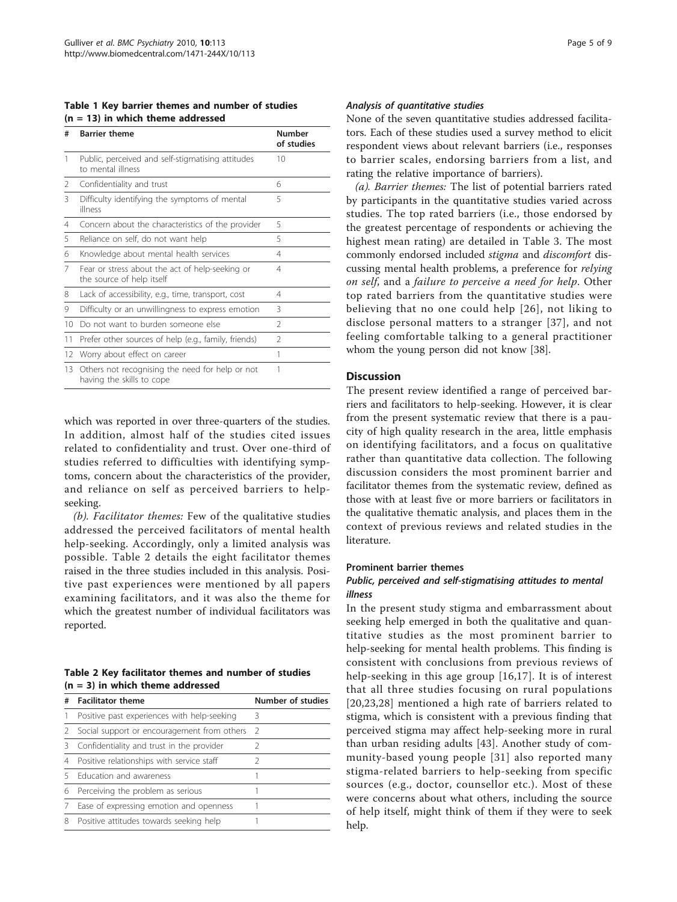<span id="page-4-0"></span>Table 1 Key barrier themes and number of studies  $(n = 13)$  in which theme addressed

| #             | <b>Barrier theme</b>                                                         | <b>Number</b><br>of studies |
|---------------|------------------------------------------------------------------------------|-----------------------------|
| 1             | Public, perceived and self-stigmatising attitudes<br>to mental illness       | 10                          |
| $\mathcal{P}$ | Confidentiality and trust                                                    | 6                           |
| 3             | Difficulty identifying the symptoms of mental<br>illness                     | 5                           |
| 4             | Concern about the characteristics of the provider                            | 5                           |
| 5             | Reliance on self, do not want help                                           | 5                           |
| 6             | Knowledge about mental health services                                       | 4                           |
| 7             | Fear or stress about the act of help-seeking or<br>the source of help itself | 4                           |
| 8             | Lack of accessibility, e.g., time, transport, cost                           | 4                           |
| 9             | Difficulty or an unwillingness to express emotion                            | 3                           |
| 10            | Do not want to burden someone else                                           | $\mathcal{D}$               |
| 11            | Prefer other sources of help (e.g., family, friends)                         | $\mathcal{D}$               |
| 12            | Worry about effect on career                                                 |                             |
| 13            | Others not recognising the need for help or not<br>having the skills to cope | 1                           |

which was reported in over three-quarters of the studies. In addition, almost half of the studies cited issues related to confidentiality and trust. Over one-third of studies referred to difficulties with identifying symptoms, concern about the characteristics of the provider, and reliance on self as perceived barriers to helpseeking.

(b). Facilitator themes: Few of the qualitative studies addressed the perceived facilitators of mental health help-seeking. Accordingly, only a limited analysis was possible. Table 2 details the eight facilitator themes raised in the three studies included in this analysis. Positive past experiences were mentioned by all papers examining facilitators, and it was also the theme for which the greatest number of individual facilitators was reported.

| Table 2 Key facilitator themes and number of studies |  |  |  |
|------------------------------------------------------|--|--|--|
| $(n = 3)$ in which theme addressed                   |  |  |  |

| # | <b>Facilitator theme</b>                      | <b>Number of studies</b> |
|---|-----------------------------------------------|--------------------------|
|   | Positive past experiences with help-seeking   | 3                        |
|   | Social support or encouragement from others 2 |                          |
|   | Confidentiality and trust in the provider     |                          |
|   | Positive relationships with service staff     |                          |
|   | Education and awareness                       |                          |
| 6 | Perceiving the problem as serious             |                          |
|   | Ease of expressing emotion and openness       |                          |
|   | Positive attitudes towards seeking help       |                          |

## Analysis of quantitative studies

None of the seven quantitative studies addressed facilitators. Each of these studies used a survey method to elicit respondent views about relevant barriers (i.e., responses to barrier scales, endorsing barriers from a list, and rating the relative importance of barriers).

(a). Barrier themes: The list of potential barriers rated by participants in the quantitative studies varied across studies. The top rated barriers (i.e., those endorsed by the greatest percentage of respondents or achieving the highest mean rating) are detailed in Table [3](#page-5-0). The most commonly endorsed included stigma and discomfort discussing mental health problems, a preference for relying on self, and a failure to perceive a need for help. Other top rated barriers from the quantitative studies were believing that no one could help [[26\]](#page-7-0), not liking to disclose personal matters to a stranger [\[37\]](#page-7-0), and not feeling comfortable talking to a general practitioner whom the young person did not know [[38\]](#page-7-0).

## **Discussion**

The present review identified a range of perceived barriers and facilitators to help-seeking. However, it is clear from the present systematic review that there is a paucity of high quality research in the area, little emphasis on identifying facilitators, and a focus on qualitative rather than quantitative data collection. The following discussion considers the most prominent barrier and facilitator themes from the systematic review, defined as those with at least five or more barriers or facilitators in the qualitative thematic analysis, and places them in the context of previous reviews and related studies in the literature.

## Prominent barrier themes

## Public, perceived and self-stigmatising attitudes to mental illness

In the present study stigma and embarrassment about seeking help emerged in both the qualitative and quantitative studies as the most prominent barrier to help-seeking for mental health problems. This finding is consistent with conclusions from previous reviews of help-seeking in this age group [\[16](#page-7-0),[17\]](#page-7-0). It is of interest that all three studies focusing on rural populations [[20](#page-7-0),[23,28](#page-7-0)] mentioned a high rate of barriers related to stigma, which is consistent with a previous finding that perceived stigma may affect help-seeking more in rural than urban residing adults [[43\]](#page-8-0). Another study of community-based young people [[31](#page-7-0)] also reported many stigma-related barriers to help-seeking from specific sources (e.g., doctor, counsellor etc.). Most of these were concerns about what others, including the source of help itself, might think of them if they were to seek help.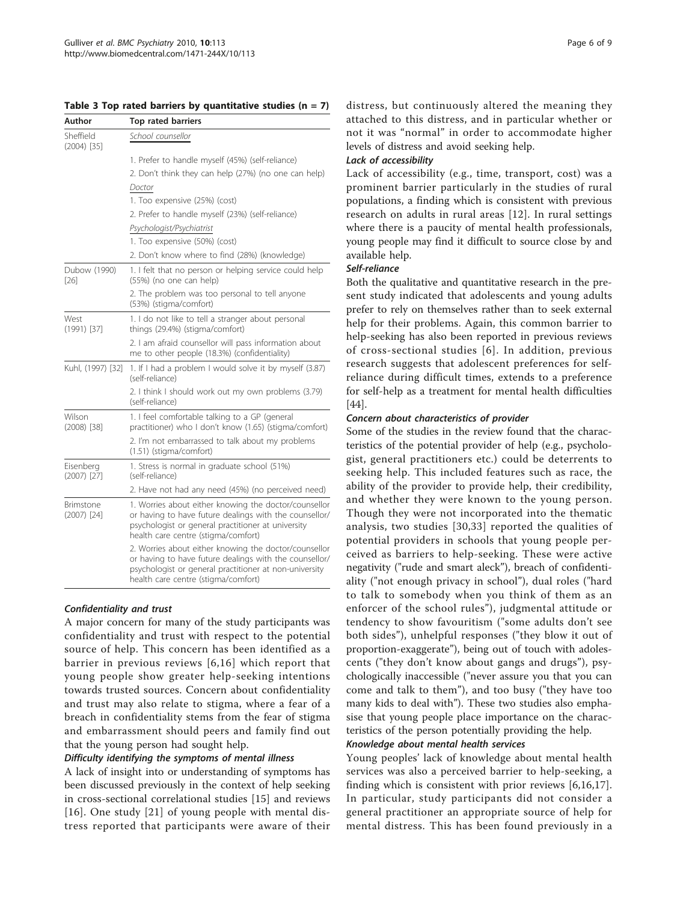<span id="page-5-0"></span>

| Table 3 Top rated barriers by quantitative studies ( $n = 7$ ) |  |  |
|----------------------------------------------------------------|--|--|
|----------------------------------------------------------------|--|--|

| Author                     | Top rated barriers                                                                                                                                                                                               |  |  |  |
|----------------------------|------------------------------------------------------------------------------------------------------------------------------------------------------------------------------------------------------------------|--|--|--|
| Sheffield<br>$(2004)$ [35] | School counsellor                                                                                                                                                                                                |  |  |  |
|                            | 1. Prefer to handle myself (45%) (self-reliance)                                                                                                                                                                 |  |  |  |
|                            | 2. Don't think they can help (27%) (no one can help)                                                                                                                                                             |  |  |  |
|                            | Doctor                                                                                                                                                                                                           |  |  |  |
|                            | 1. Too expensive (25%) (cost)                                                                                                                                                                                    |  |  |  |
|                            | 2. Prefer to handle myself (23%) (self-reliance)                                                                                                                                                                 |  |  |  |
|                            | Psychologist/Psychiatrist                                                                                                                                                                                        |  |  |  |
|                            | 1. Too expensive (50%) (cost)                                                                                                                                                                                    |  |  |  |
|                            | 2. Don't know where to find (28%) (knowledge)                                                                                                                                                                    |  |  |  |
| Dubow (1990)<br>$[26]$     | 1. I felt that no person or helping service could help<br>(55%) (no one can help)                                                                                                                                |  |  |  |
|                            | 2. The problem was too personal to tell anyone<br>(53%) (stigma/comfort)                                                                                                                                         |  |  |  |
| West<br>$(1991)$ [37]      | 1. I do not like to tell a stranger about personal<br>things (29.4%) (stigma/comfort)                                                                                                                            |  |  |  |
|                            | 2. I am afraid counsellor will pass information about<br>me to other people (18.3%) (confidentiality)                                                                                                            |  |  |  |
| Kuhl, (1997) [32]          | 1. If I had a problem I would solve it by myself (3.87)<br>(self-reliance)                                                                                                                                       |  |  |  |
|                            | 2. I think I should work out my own problems (3.79)<br>(self-reliance)                                                                                                                                           |  |  |  |
| Wilson<br>$(2008)$ [38]    | 1. I feel comfortable talking to a GP (general<br>practitioner) who I don't know (1.65) (stigma/comfort)                                                                                                         |  |  |  |
|                            | 2. I'm not embarrassed to talk about my problems<br>(1.51) (stigma/comfort)                                                                                                                                      |  |  |  |
| Eisenberg<br>$(2007)$ [27] | 1. Stress is normal in graduate school (51%)<br>(self-reliance)                                                                                                                                                  |  |  |  |
|                            | 2. Have not had any need (45%) (no perceived need)                                                                                                                                                               |  |  |  |
| Brimstone<br>$(2007)$ [24] | 1. Worries about either knowing the doctor/counsellor<br>or having to have future dealings with the counsellor/<br>psychologist or general practitioner at university<br>health care centre (stigma/comfort)     |  |  |  |
|                            | 2. Worries about either knowing the doctor/counsellor<br>or having to have future dealings with the counsellor/<br>psychologist or general practitioner at non-university<br>health care centre (stigma/comfort) |  |  |  |

#### Confidentiality and trust

A major concern for many of the study participants was confidentiality and trust with respect to the potential source of help. This concern has been identified as a barrier in previous reviews [[6,16](#page-7-0)] which report that young people show greater help-seeking intentions towards trusted sources. Concern about confidentiality and trust may also relate to stigma, where a fear of a breach in confidentiality stems from the fear of stigma and embarrassment should peers and family find out that the young person had sought help.

## Difficulty identifying the symptoms of mental illness

A lack of insight into or understanding of symptoms has been discussed previously in the context of help seeking in cross-sectional correlational studies [[15\]](#page-7-0) and reviews [[16](#page-7-0)]. One study [[21\]](#page-7-0) of young people with mental distress reported that participants were aware of their distress, but continuously altered the meaning they attached to this distress, and in particular whether or not it was "normal" in order to accommodate higher levels of distress and avoid seeking help.

## Lack of accessibility

Lack of accessibility (e.g., time, transport, cost) was a prominent barrier particularly in the studies of rural populations, a finding which is consistent with previous research on adults in rural areas [[12\]](#page-7-0). In rural settings where there is a paucity of mental health professionals, young people may find it difficult to source close by and available help.

## Self-reliance

Both the qualitative and quantitative research in the present study indicated that adolescents and young adults prefer to rely on themselves rather than to seek external help for their problems. Again, this common barrier to help-seeking has also been reported in previous reviews of cross-sectional studies [[6](#page-7-0)]. In addition, previous research suggests that adolescent preferences for selfreliance during difficult times, extends to a preference for self-help as a treatment for mental health difficulties [[44\]](#page-8-0).

## Concern about characteristics of provider

Some of the studies in the review found that the characteristics of the potential provider of help (e.g., psychologist, general practitioners etc.) could be deterrents to seeking help. This included features such as race, the ability of the provider to provide help, their credibility, and whether they were known to the young person. Though they were not incorporated into the thematic analysis, two studies [\[30,33\]](#page-7-0) reported the qualities of potential providers in schools that young people perceived as barriers to help-seeking. These were active negativity ("rude and smart aleck"), breach of confidentiality ("not enough privacy in school"), dual roles ("hard to talk to somebody when you think of them as an enforcer of the school rules"), judgmental attitude or tendency to show favouritism ("some adults don't see both sides"), unhelpful responses ("they blow it out of proportion-exaggerate"), being out of touch with adolescents ("they don't know about gangs and drugs"), psychologically inaccessible ("never assure you that you can come and talk to them"), and too busy ("they have too many kids to deal with"). These two studies also emphasise that young people place importance on the characteristics of the person potentially providing the help.

## Knowledge about mental health services

Young peoples' lack of knowledge about mental health services was also a perceived barrier to help-seeking, a finding which is consistent with prior reviews [[6,16,17](#page-7-0)]. In particular, study participants did not consider a general practitioner an appropriate source of help for mental distress. This has been found previously in a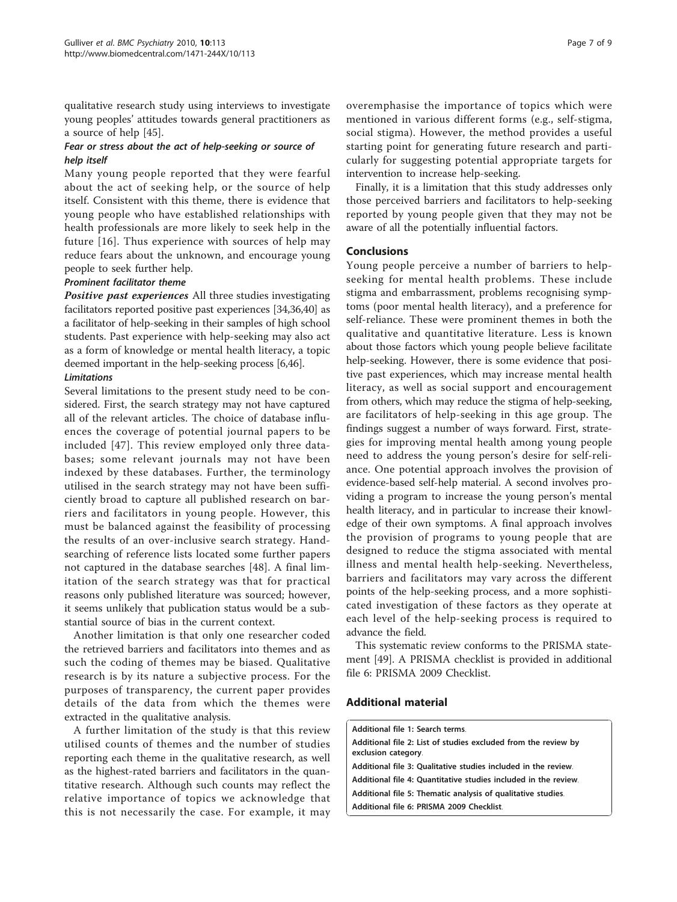<span id="page-6-0"></span>qualitative research study using interviews to investigate young peoples' attitudes towards general practitioners as a source of help [\[45\]](#page-8-0).

## Fear or stress about the act of help-seeking or source of help itself

Many young people reported that they were fearful about the act of seeking help, or the source of help itself. Consistent with this theme, there is evidence that young people who have established relationships with health professionals are more likely to seek help in the future [\[16](#page-7-0)]. Thus experience with sources of help may reduce fears about the unknown, and encourage young people to seek further help.

## Prominent facilitator theme

**Positive past experiences** All three studies investigating facilitators reported positive past experiences [\[34,36,](#page-7-0)[40\]](#page-8-0) as a facilitator of help-seeking in their samples of high school students. Past experience with help-seeking may also act as a form of knowledge or mental health literacy, a topic deemed important in the help-seeking process [[6](#page-7-0)[,46](#page-8-0)].

## Limitations

Several limitations to the present study need to be considered. First, the search strategy may not have captured all of the relevant articles. The choice of database influences the coverage of potential journal papers to be included [[47](#page-8-0)]. This review employed only three databases; some relevant journals may not have been indexed by these databases. Further, the terminology utilised in the search strategy may not have been sufficiently broad to capture all published research on barriers and facilitators in young people. However, this must be balanced against the feasibility of processing the results of an over-inclusive search strategy. Handsearching of reference lists located some further papers not captured in the database searches [\[48](#page-8-0)]. A final limitation of the search strategy was that for practical reasons only published literature was sourced; however, it seems unlikely that publication status would be a substantial source of bias in the current context.

Another limitation is that only one researcher coded the retrieved barriers and facilitators into themes and as such the coding of themes may be biased. Qualitative research is by its nature a subjective process. For the purposes of transparency, the current paper provides details of the data from which the themes were extracted in the qualitative analysis.

A further limitation of the study is that this review utilised counts of themes and the number of studies reporting each theme in the qualitative research, as well as the highest-rated barriers and facilitators in the quantitative research. Although such counts may reflect the relative importance of topics we acknowledge that this is not necessarily the case. For example, it may overemphasise the importance of topics which were mentioned in various different forms (e.g., self-stigma, social stigma). However, the method provides a useful starting point for generating future research and particularly for suggesting potential appropriate targets for intervention to increase help-seeking.

Finally, it is a limitation that this study addresses only those perceived barriers and facilitators to help-seeking reported by young people given that they may not be aware of all the potentially influential factors.

## Conclusions

Young people perceive a number of barriers to helpseeking for mental health problems. These include stigma and embarrassment, problems recognising symptoms (poor mental health literacy), and a preference for self-reliance. These were prominent themes in both the qualitative and quantitative literature. Less is known about those factors which young people believe facilitate help-seeking. However, there is some evidence that positive past experiences, which may increase mental health literacy, as well as social support and encouragement from others, which may reduce the stigma of help-seeking, are facilitators of help-seeking in this age group. The findings suggest a number of ways forward. First, strategies for improving mental health among young people need to address the young person's desire for self-reliance. One potential approach involves the provision of evidence-based self-help material. A second involves providing a program to increase the young person's mental health literacy, and in particular to increase their knowledge of their own symptoms. A final approach involves the provision of programs to young people that are designed to reduce the stigma associated with mental illness and mental health help-seeking. Nevertheless, barriers and facilitators may vary across the different points of the help-seeking process, and a more sophisticated investigation of these factors as they operate at each level of the help-seeking process is required to advance the field.

This systematic review conforms to the PRISMA statement [\[49\]](#page-8-0). A PRISMA checklist is provided in additional file 6: PRISMA 2009 Checklist.

## Additional material

| Additional file 1: Search terms.                                                      |
|---------------------------------------------------------------------------------------|
| Additional file 2: List of studies excluded from the review by<br>exclusion category. |
| Additional file 3: Qualitative studies included in the review.                        |
| Additional file 4: Quantitative studies included in the review.                       |
| Additional file 5: Thematic analysis of qualitative studies.                          |
| Additional file 6: PRISMA 2009 Checklist                                              |
|                                                                                       |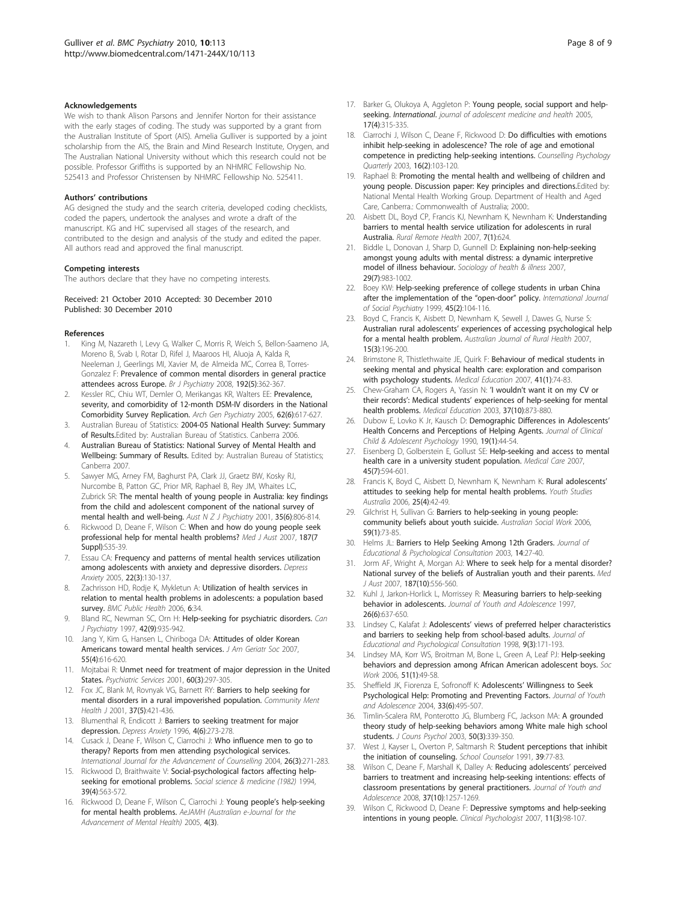#### <span id="page-7-0"></span>Acknowledgements

We wish to thank Alison Parsons and Jennifer Norton for their assistance with the early stages of coding. The study was supported by a grant from the Australian Institute of Sport (AIS). Amelia Gulliver is supported by a joint scholarship from the AIS, the Brain and Mind Research Institute, Orygen, and The Australian National University without which this research could not be possible. Professor Griffiths is supported by an NHMRC Fellowship No. 525413 and Professor Christensen by NHMRC Fellowship No. 525411.

#### Authors' contributions

AG designed the study and the search criteria, developed coding checklists, coded the papers, undertook the analyses and wrote a draft of the manuscript. KG and HC supervised all stages of the research, and contributed to the design and analysis of the study and edited the paper. All authors read and approved the final manuscript.

#### Competing interests

The authors declare that they have no competing interests.

#### Received: 21 October 2010 Accepted: 30 December 2010 Published: 30 December 2010

#### References

- 1. King M, Nazareth I, Levy G, Walker C, Morris R, Weich S, Bellon-Saameno JA, Moreno B, Svab I, Rotar D, Rifel J, Maaroos HI, Aluoja A, Kalda R, Neeleman J, Geerlings MI, Xavier M, de Almeida MC, Correa B, Torres-Gonzalez F: [Prevalence of common mental disorders in general practice](http://www.ncbi.nlm.nih.gov/pubmed/18450661?dopt=Abstract) [attendees across Europe.](http://www.ncbi.nlm.nih.gov/pubmed/18450661?dopt=Abstract) Br J Psychiatry 2008, 192(5):362-367
- 2. Kessler RC, Chiu WT, Demler O, Merikangas KR, Walters EE: [Prevalence,](http://www.ncbi.nlm.nih.gov/pubmed/15939839?dopt=Abstract) [severity, and comorbidity of 12-month DSM-IV disorders in the National](http://www.ncbi.nlm.nih.gov/pubmed/15939839?dopt=Abstract) [Comorbidity Survey Replication.](http://www.ncbi.nlm.nih.gov/pubmed/15939839?dopt=Abstract) Arch Gen Psychiatry 2005, 62(6):617-627.
- 3. Australian Bureau of Statistics: 2004-05 National Health Survey: Summary of Results.Edited by: Australian Bureau of Statistics. Canberra 2006.
- 4. Australian Bureau of Statistics: National Survey of Mental Health and Wellbeing: Summary of Results. Edited by: Australian Bureau of Statistics; Canberra 2007.
- 5. Sawyer MG, Arney FM, Baghurst PA, Clark JJ, Graetz BW, Kosky RJ, Nurcombe B, Patton GC, Prior MR, Raphael B, Rey JM, Whaites LC, Zubrick SR: [The mental health of young people in Australia: key findings](http://www.ncbi.nlm.nih.gov/pubmed/11990891?dopt=Abstract) [from the child and adolescent component of the national survey of](http://www.ncbi.nlm.nih.gov/pubmed/11990891?dopt=Abstract) [mental health and well-being.](http://www.ncbi.nlm.nih.gov/pubmed/11990891?dopt=Abstract) Aust N Z J Psychiatry 2001, 35(6):806-814.
- 6. Rickwood D, Deane F, Wilson C: [When and how do young people seek](http://www.ncbi.nlm.nih.gov/pubmed/17908023?dopt=Abstract) [professional help for mental health problems?](http://www.ncbi.nlm.nih.gov/pubmed/17908023?dopt=Abstract) Med J Aust 2007, 187(7 Suppl):S35-39.
- 7. Essau CA: [Frequency and patterns of mental health services utilization](http://www.ncbi.nlm.nih.gov/pubmed/16175563?dopt=Abstract) [among adolescents with anxiety and depressive disorders.](http://www.ncbi.nlm.nih.gov/pubmed/16175563?dopt=Abstract) Depress Anxiety 2005, 22(3):130-137.
- 8. Zachrisson HD, Rodje K, Mykletun A: [Utilization of health services in](http://www.ncbi.nlm.nih.gov/pubmed/16480522?dopt=Abstract) [relation to mental health problems in adolescents: a population based](http://www.ncbi.nlm.nih.gov/pubmed/16480522?dopt=Abstract) [survey.](http://www.ncbi.nlm.nih.gov/pubmed/16480522?dopt=Abstract) BMC Public Health 2006, 6:34.
- Bland RC, Newman SC, Orn H: [Help-seeking for psychiatric disorders.](http://www.ncbi.nlm.nih.gov/pubmed/9429063?dopt=Abstract) Can J Psychiatry 1997, 42(9):935-942.
- 10. Jang Y, Kim G, Hansen L, Chiriboga DA: [Attitudes of older Korean](http://www.ncbi.nlm.nih.gov/pubmed/17397442?dopt=Abstract) [Americans toward mental health services.](http://www.ncbi.nlm.nih.gov/pubmed/17397442?dopt=Abstract) J Am Geriatr Soc 2007, 55(4):616-620.
- 11. Mojtabai R: Unmet need for treatment of major depression in the United States. Psychiatric Services 2001, 60(3):297-305.
- 12. Fox JC, Blank M, Rovnyak VG, Barnett RY: [Barriers to help seeking for](http://www.ncbi.nlm.nih.gov/pubmed/11419519?dopt=Abstract) [mental disorders in a rural impoverished population.](http://www.ncbi.nlm.nih.gov/pubmed/11419519?dopt=Abstract) Community Ment Health J 2001, 37(5):421-436.
- 13. Blumenthal R, Endicott J: [Barriers to seeking treatment for major](http://www.ncbi.nlm.nih.gov/pubmed/9166655?dopt=Abstract) [depression.](http://www.ncbi.nlm.nih.gov/pubmed/9166655?dopt=Abstract) Depress Anxiety 1996, 4(6):273-278.
- 14. Cusack J, Deane F, Wilson C, Ciarrochi J: Who influence men to go to therapy? Reports from men attending psychological services. International Journal for the Advancement of Counselling 2004, 26(3):271-283.
- 15. Rickwood D, Braithwaite V: Social-psychological factors affecting helpseeking for emotional problems. Social science & medicine (1982) 1994, 39(4):563-572.
- 16. Rickwood D, Deane F, Wilson C, Ciarrochi J: Young people's help-seeking for mental health problems. AeJAMH (Australian e-Journal for the Advancement of Mental Health) 2005, 4(3).
- 17. Barker G, Olukoya A, Aggleton P: Young people, social support and helpseeking. International. journal of adolescent medicine and health 2005, 17(4):315-335.
- 18. Ciarrochi J, Wilson C, Deane F, Rickwood D: Do difficulties with emotions inhibit help-seeking in adolescence? The role of age and emotional competence in predicting help-seeking intentions. Counselling Psychology Quarterly 2003, 16(2):103-120.
- 19. Raphael B: Promoting the mental health and wellbeing of children and young people. Discussion paper: Key principles and directions.Edited by: National Mental Health Working Group. Department of Health and Aged Care, Canberra.: Commonwealth of Australia; 2000:.
- 20. Aisbett DL, Boyd CP, Francis KJ, Newnham K, Newnham K: [Understanding](http://www.ncbi.nlm.nih.gov/pubmed/17302509?dopt=Abstract) [barriers to mental health service utilization for adolescents in rural](http://www.ncbi.nlm.nih.gov/pubmed/17302509?dopt=Abstract) [Australia.](http://www.ncbi.nlm.nih.gov/pubmed/17302509?dopt=Abstract) Rural Remote Health 2007, 7(1):624.
- 21. Biddle L, Donovan J, Sharp D, Gunnell D: Explaining non-help-seeking amongst young adults with mental distress: a dynamic interpretive model of illness behaviour. Sociology of health & illness 2007, 29(7):983-1002.
- 22. Boey KW: [Help-seeking preference of college students in urban China](http://www.ncbi.nlm.nih.gov/pubmed/10443253?dopt=Abstract) [after the implementation of the](http://www.ncbi.nlm.nih.gov/pubmed/10443253?dopt=Abstract) "open-door" policy. International Journal of Social Psychiatry 1999, 45(2):104-116.
- 23. Boyd C, Francis K, Aisbett D, Newnham K, Sewell J, Dawes G, Nurse S: Australian rural adolescents' [experiences of accessing psychological help](http://www.ncbi.nlm.nih.gov/pubmed/17542793?dopt=Abstract) [for a mental health problem.](http://www.ncbi.nlm.nih.gov/pubmed/17542793?dopt=Abstract) Australian Journal of Rural Health 2007, 15(3):196-200.
- 24. Brimstone R, Thistlethwaite JE, Quirk F: [Behaviour of medical students in](http://www.ncbi.nlm.nih.gov/pubmed/17209895?dopt=Abstract) [seeking mental and physical health care: exploration and comparison](http://www.ncbi.nlm.nih.gov/pubmed/17209895?dopt=Abstract) [with psychology students.](http://www.ncbi.nlm.nih.gov/pubmed/17209895?dopt=Abstract) Medical Education 2007, 41(1):74-83.
- 25. Chew-Graham CA, Rogers A, Yassin N: 'I wouldn'[t want it on my CV or](http://www.ncbi.nlm.nih.gov/pubmed/12974841?dopt=Abstract) their records': Medical students' [experiences of help-seeking for mental](http://www.ncbi.nlm.nih.gov/pubmed/12974841?dopt=Abstract) [health problems.](http://www.ncbi.nlm.nih.gov/pubmed/12974841?dopt=Abstract) Medical Education 2003, 37(10):873-880.
- 26. Dubow E, Lovko K Jr, Kausch D: Demographic Differences in Adolescents' Health Concerns and Perceptions of Helping Agents. Journal of Clinical Child & Adolescent Psychology 1990, 19(1):44-54.
- 27. Eisenberg D, Golberstein E, Gollust SE: [Help-seeking and access to mental](http://www.ncbi.nlm.nih.gov/pubmed/17571007?dopt=Abstract) [health care in a university student population.](http://www.ncbi.nlm.nih.gov/pubmed/17571007?dopt=Abstract) Medical Care 2007, 45(7):594-601.
- 28. Francis K, Boyd C, Aisbett D, Newnham K, Newnham K; **Rural adolescents'** attitudes to seeking help for mental health problems. Youth Studies Australia 2006, 25(4):42-49.
- 29. Gilchrist H, Sullivan G: Barriers to help-seeking in young people: community beliefs about youth suicide. Australian Social Work 2006, 59(1):73-85.
- 30. Helms JL: Barriers to Help Seeking Among 12th Graders. Journal of Educational & Psychological Consultation 2003, 14:27-40.
- 31. Jorm AF, Wright A, Morgan AJ: [Where to seek help for a mental disorder?](http://www.ncbi.nlm.nih.gov/pubmed/18021042?dopt=Abstract) [National survey of the beliefs of Australian youth and their parents.](http://www.ncbi.nlm.nih.gov/pubmed/18021042?dopt=Abstract) Med J Aust 2007, 187(10):556-560.
- 32. Kuhl J, Jarkon-Horlick L, Morrissey R: Measuring barriers to help-seeking behavior in adolescents. Journal of Youth and Adolescence 1997, 26(6):637-650.
- 33. Lindsey C, Kalafat J: Adolescents' views of preferred helper characteristics and barriers to seeking help from school-based adults. Journal of Educational and Psychological Consultation 1998, 9(3):171-193.
- 34. Lindsey MA, Korr WS, Broitman M, Bone L, Green A, Leaf PJ: [Help-seeking](http://www.ncbi.nlm.nih.gov/pubmed/16512510?dopt=Abstract) [behaviors and depression among African American adolescent boys.](http://www.ncbi.nlm.nih.gov/pubmed/16512510?dopt=Abstract) Soc Work 2006, 51(1):49-58.
- Sheffield JK, Fiorenza E, Sofronoff K: Adolescents' Willingness to Seek Psychological Help: Promoting and Preventing Factors. Journal of Youth and Adolescence 2004, 33(6):495-507.
- 36. Timlin-Scalera RM, Ponterotto JG, Blumberg FC, Jackson MA: A grounded theory study of help-seeking behaviors among White male high school students. J Couns Psychol 2003, 50(3):339-350.
- 37. West J, Kayser L, Overton P, Saltmarsh R: Student perceptions that inhibit the initiation of counseling. School Counselor 1991, 39:77-83.
- 38. Wilson C, Deane F, Marshall K, Dalley A: Reducing adolescents' perceived barriers to treatment and increasing help-seeking intentions: effects of classroom presentations by general practitioners. Journal of Youth and Adolescence 2008, 37(10):1257-1269.
- 39. Wilson C, Rickwood D, Deane F: Depressive symptoms and help-seeking intentions in young people. Clinical Psychologist 2007, 11(3):98-107.